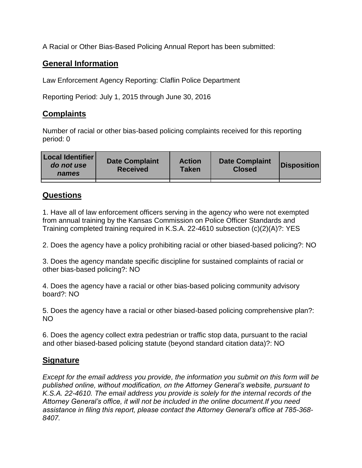A Racial or Other Bias-Based Policing Annual Report has been submitted:

# **General Information**

Law Enforcement Agency Reporting: Claflin Police Department

Reporting Period: July 1, 2015 through June 30, 2016

# **Complaints**

Number of racial or other bias-based policing complaints received for this reporting period: 0

| <b>Local Identifier</b><br>do not use<br>names | <b>Date Complaint</b><br><b>Received</b> | <b>Action</b><br><b>Taken</b> | <b>Date Complaint</b><br><b>Closed</b> | Disposition |
|------------------------------------------------|------------------------------------------|-------------------------------|----------------------------------------|-------------|
|                                                |                                          |                               |                                        |             |

# **Questions**

1. Have all of law enforcement officers serving in the agency who were not exempted from annual training by the Kansas Commission on Police Officer Standards and Training completed training required in K.S.A. 22-4610 subsection (c)(2)(A)?: YES

2. Does the agency have a policy prohibiting racial or other biased-based policing?: NO

3. Does the agency mandate specific discipline for sustained complaints of racial or other bias-based policing?: NO

4. Does the agency have a racial or other bias-based policing community advisory board?: NO

5. Does the agency have a racial or other biased-based policing comprehensive plan?: NO

6. Does the agency collect extra pedestrian or traffic stop data, pursuant to the racial and other biased-based policing statute (beyond standard citation data)?: NO

# **Signature**

*Except for the email address you provide, the information you submit on this form will be published online, without modification, on the Attorney General's website, pursuant to K.S.A. 22-4610. The email address you provide is solely for the internal records of the Attorney General's office, it will not be included in the online document.If you need assistance in filing this report, please contact the Attorney General's office at 785-368- 8407.*